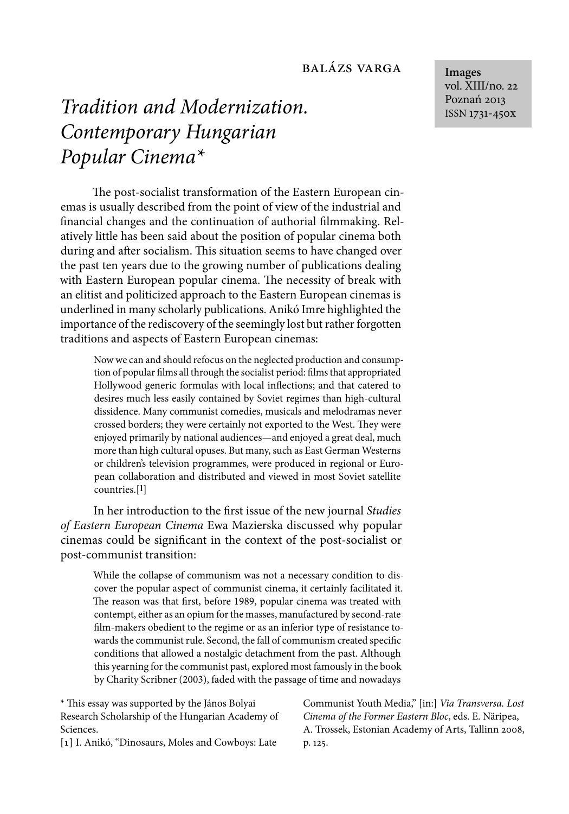# *Tradition and Modernization. Contemporary Hungarian Popular Cinema\**

The post-socialist transformation of the Eastern European cinemas is usually described from the point of view of the industrial and financial changes and the continuation of authorial filmmaking. Relatively little has been said about the position of popular cinema both during and after socialism. This situation seems to have changed over the past ten years due to the growing number of publications dealing with Eastern European popular cinema. The necessity of break with an elitist and politicized approach to the Eastern European cinemas is underlined in many scholarly publications. Anikó Imre highlighted the importance of the rediscovery of the seemingly lost but rather forgotten traditions and aspects of Eastern European cinemas:

Now we can and should refocus on the neglected production and consumption of popular films all through the socialist period: films that appropriated Hollywood generic formulas with local inflections; and that catered to desires much less easily contained by Soviet regimes than high-cultural dissidence. Many communist comedies, musicals and melodramas never crossed borders; they were certainly not exported to the West. They were enjoyed primarily by national audiences—and enjoyed a great deal, much more than high cultural opuses. But many, such as East German Westerns or children's television programmes, were produced in regional or European collaboration and distributed and viewed in most Soviet satellite countries.[**1**]

In her introduction to the first issue of the new journal *Studies of Eastern European Cinema* Ewa Mazierska discussed why popular cinemas could be significant in the context of the post-socialist or post-communist transition:

While the collapse of communism was not a necessary condition to discover the popular aspect of communist cinema, it certainly facilitated it. The reason was that first, before 1989, popular cinema was treated with contempt, either as an opium for the masses, manufactured by second-rate film-makers obedient to the regime or as an inferior type of resistance towards the communist rule. Second, the fall of communism created specific conditions that allowed a nostalgic detachment from the past. Although this yearning for the communist past, explored most famously in the book by Charity Scribner (2003), faded with the passage of time and nowadays

\* This essay was supported by the János Bolyai Research Scholarship of the Hungarian Academy of Sciences.

**[1]** I. Anikó, "Dinosaurs, Moles and Cowboys: Late

Communist Youth Media," [in:] *Via Transversa. Lost Cinema of the Former Eastern Bloc*, eds. E. Näripea, A. Trossek, Estonian Academy of Arts, Tallinn 2008, p. 125.

**Images** vol. XIII/no. 22 Poznań 2013 ISSN 1731-450x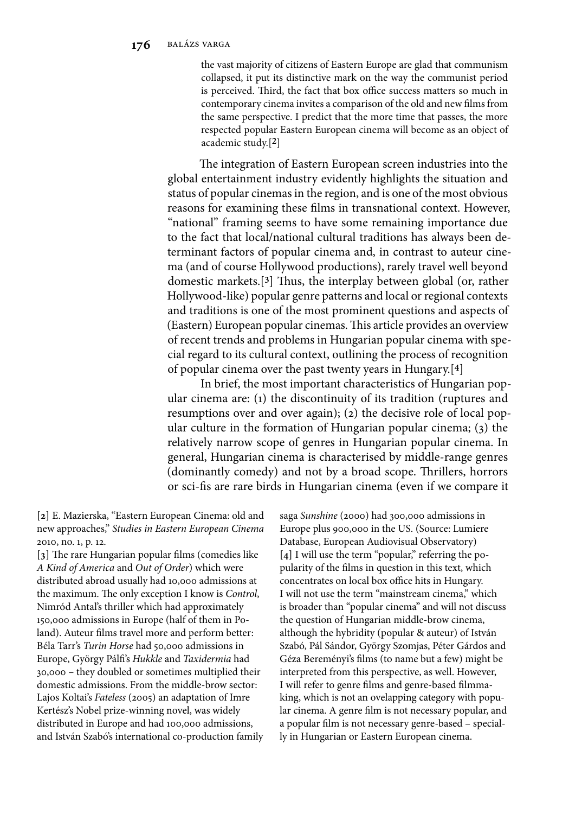the vast majority of citizens of Eastern Europe are glad that communism collapsed, it put its distinctive mark on the way the communist period is perceived. Third, the fact that box office success matters so much in contemporary cinema invites a comparison of the old and new films from the same perspective. I predict that the more time that passes, the more respected popular Eastern European cinema will become as an object of academic study.[**2**]

The integration of Eastern European screen industries into the global entertainment industry evidently highlights the situation and status of popular cinemas in the region, and is one of the most obvious reasons for examining these films in transnational context. However, "national" framing seems to have some remaining importance due to the fact that local/national cultural traditions has always been determinant factors of popular cinema and, in contrast to auteur cinema (and of course Hollywood productions), rarely travel well beyond domestic markets.<sup>[3]</sup> Thus, the interplay between global (or, rather Hollywood-like) popular genre patterns and local or regional contexts and traditions is one of the most prominent questions and aspects of (Eastern) European popular cinemas. This article provides an overview of recent trends and problems in Hungarian popular cinema with special regard to its cultural context, outlining the process of recognition of popular cinema over the past twenty years in Hungary.[**4**]

In brief, the most important characteristics of Hungarian popular cinema are: (1) the discontinuity of its tradition (ruptures and resumptions over and over again); (2) the decisive role of local popular culture in the formation of Hungarian popular cinema; (3) the relatively narrow scope of genres in Hungarian popular cinema. In general, Hungarian cinema is characterised by middle-range genres (dominantly comedy) and not by a broad scope. Thrillers, horrors or sci-fis are rare birds in Hungarian cinema (even if we compare it

**[2]** E. Mazierska, "Eastern European Cinema: old and new approaches," *Studies in Eastern European Cinema*  2010, no. 1, p. 12.

[3] The rare Hungarian popular films (comedies like *A Kind of America* and *Out of Order*) which were distributed abroad usually had 10,000 admissions at the maximum. The only exception I know is *Control*, Nimród Antal's thriller which had approximately 150,000 admissions in Europe (half of them in Poland). Auteur films travel more and perform better: Béla Tarr's *Turin Horse* had 50,000 admissions in Europe, György Pálfi's *Hukkle* and *Taxidermia* had 30,000 – they doubled or sometimes multiplied their domestic admissions. From the middle-brow sector: Lajos Koltai's *Fateless* (2005) an adaptation of Imre Kertész's Nobel prize-winning novel, was widely distributed in Europe and had 100,000 admissions, and István Szabó's international co-production family

saga *Sunshine* (2000) had 300,000 admissions in Europe plus 900,000 in the US. (Source: Lumiere Database, European Audiovisual Observatory) [4] I will use the term "popular," referring the popularity of the films in question in this text, which concentrates on local box office hits in Hungary. I will not use the term "mainstream cinema," which is broader than "popular cinema" and will not discuss the question of Hungarian middle-brow cinema, although the hybridity (popular & auteur) of István Szabó, Pál Sándor, György Szomjas, Péter Gárdos and Géza Bereményi's films (to name but a few) might be interpreted from this perspective, as well. However, I will refer to genre films and genre-based filmmaking, which is not an ovelapping category with popular cinema. A genre film is not necessary popular, and a popular film is not necessary genre-based - specially in Hungarian or Eastern European cinema.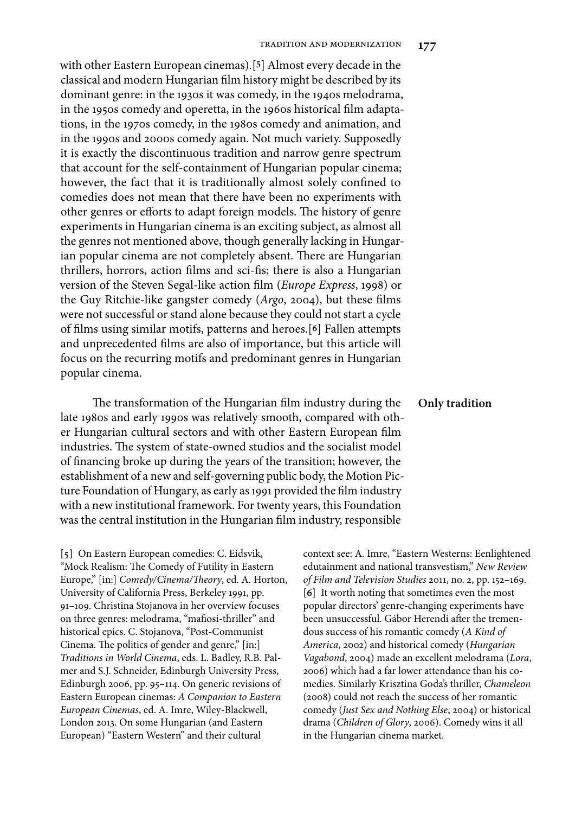with other Eastern European cinemas).[**5**] Almost every decade in the classical and modern Hungarian film history might be described by its dominant genre: in the 1930s it was comedy, in the 1940s melodrama, in the 1950s comedy and operetta, in the 1960s historical film adaptations, in the 1970s comedy, in the 1980s comedy and animation, and in the 1990s and 2000s comedy again. Not much variety. Supposedly it is exactly the discontinuous tradition and narrow genre spectrum that account for the self-containment of Hungarian popular cinema; however, the fact that it is traditionally almost solely confined to comedies does not mean that there have been no experiments with other genres or efforts to adapt foreign models. The history of genre experiments in Hungarian cinema is an exciting subject, as almost all the genres not mentioned above, though generally lacking in Hungarian popular cinema are not completely absent. There are Hungarian thrillers, horrors, action films and sci-fis; there is also a Hungarian version of the Steven Segal-like action film (*Europe Express*, 1998) or the Guy Ritchie-like gangster comedy (*Argo*, 2004), but these films were not successful or stand alone because they could not start a cycle of films using similar motifs, patterns and heroes.<sup>[6]</sup> Fallen attempts and unprecedented films are also of importance, but this article will focus on the recurring motifs and predominant genres in Hungarian popular cinema.

The transformation of the Hungarian film industry during the late 1980s and early 1990s was relatively smooth, compared with other Hungarian cultural sectors and with other Eastern European film industries. The system of state-owned studios and the socialist model of financing broke up during the years of the transition; however, the establishment of a new and self-governing public body, the Motion Picture Foundation of Hungary, as early as 1991 provided the film industry with a new institutional framework. For twenty years, this Foundation was the central institution in the Hungarian film industry, responsible

**[5]** On Eastern European comedies: C. Eidsvik, "Mock Realism: The Comedy of Futility in Eastern Europe," [in:] *Comedy/Cinema/Theory*, ed. A. Horton, University of California Press, Berkeley 1991, pp. 91–109. Christina Stojanova in her overview focuses on three genres: melodrama, "mafiosi-thriller" and historical epics. C. Stojanova, "Post-Communist Cinema. The politics of gender and genre," [in:] *Traditions in World Cinema*, eds. L. Badley, R.B. Palmer and S.J. Schneider, Edinburgh University Press, Edinburgh 2006, pp. 95–114. On generic revisions of Eastern European cinemas: *A Companion to Eastern European Cinemas*, ed. A. Imre, Wiley-Blackwell, London 2013. On some Hungarian (and Eastern European) "Eastern Western" and their cultural

context see: A. Imre, "Eastern Westerns: Eenlightened edutainment and national transvestism," *New Review of Film and Television Studies* 2011, no. 2, pp. 152–169. **[6]** It worth noting that sometimes even the most popular directors' genre-changing experiments have been unsuccessful. Gábor Herendi after the tremendous success of his romantic comedy (*A Kind of America*, 2002) and historical comedy (*Hungarian Vagabond*, 2004) made an excellent melodrama (*Lora*, 2006) which had a far lower attendance than his comedies. Similarly Krisztina Goda's thriller, *Chameleon*  (2008) could not reach the success of her romantic comedy (*Just Sex and Nothing Else*, 2004) or historical drama (*Children of Glory*, 2006). Comedy wins it all in the Hungarian cinema market.

### **Only tradition**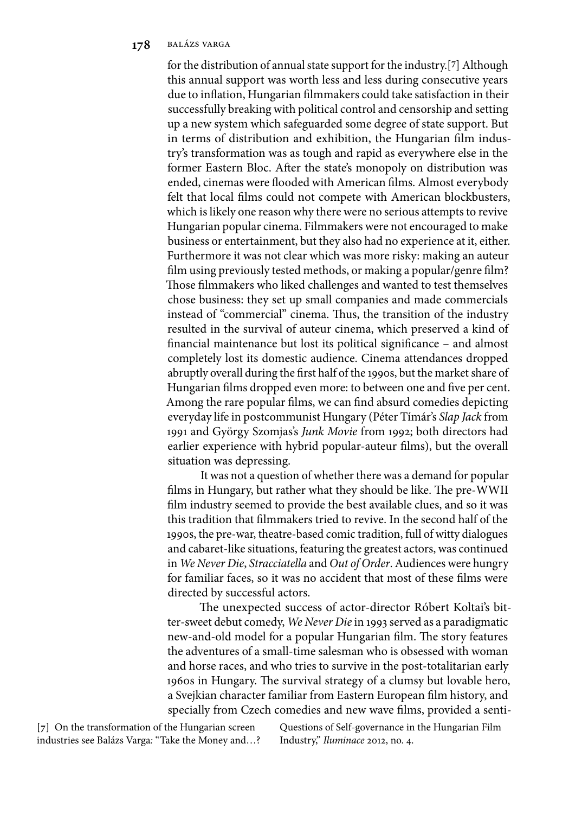#### **178** balázs varga

for the distribution of annual state support for the industry.[**7**] Although this annual support was worth less and less during consecutive years due to inflation, Hungarian filmmakers could take satisfaction in their successfully breaking with political control and censorship and setting up a new system which safeguarded some degree of state support. But in terms of distribution and exhibition, the Hungarian film industry's transformation was as tough and rapid as everywhere else in the former Eastern Bloc. After the state's monopoly on distribution was ended, cinemas were flooded with American films. Almost everybody felt that local films could not compete with American blockbusters, which is likely one reason why there were no serious attempts to revive Hungarian popular cinema. Filmmakers were not encouraged to make business or entertainment, but they also had no experience at it, either. Furthermore it was not clear which was more risky: making an auteur film using previously tested methods, or making a popular/genre film? Those filmmakers who liked challenges and wanted to test themselves chose business: they set up small companies and made commercials instead of "commercial" cinema. Thus, the transition of the industry resulted in the survival of auteur cinema, which preserved a kind of financial maintenance but lost its political significance – and almost completely lost its domestic audience. Cinema attendances dropped abruptly overall during the first half of the 1990s, but the market share of Hungarian films dropped even more: to between one and five per cent. Among the rare popular films, we can find absurd comedies depicting everyday life in postcommunist Hungary (Péter Tímár's *Slap Jack* from 1991 and György Szomjas's *Junk Movie* from 1992; both directors had earlier experience with hybrid popular-auteur films), but the overall situation was depressing.

It was not a question of whether there was a demand for popular films in Hungary, but rather what they should be like. The pre-WWII film industry seemed to provide the best available clues, and so it was this tradition that filmmakers tried to revive. In the second half of the 1990s, the pre-war, theatre-based comic tradition, full of witty dialogues and cabaret-like situations, featuring the greatest actors, was continued in *We Never Die*, *Stracciatella* and *Out of Order*. Audiences were hungry for familiar faces, so it was no accident that most of these films were directed by successful actors.

The unexpected success of actor-director Róbert Koltai's bitter-sweet debut comedy, *We Never Die* in 1993 served as a paradigmatic new-and-old model for a popular Hungarian film. The story features the adventures of a small-time salesman who is obsessed with woman and horse races, and who tries to survive in the post-totalitarian early 1960s in Hungary. The survival strategy of a clumsy but lovable hero, a Svejkian character familiar from Eastern European film history, and specially from Czech comedies and new wave films, provided a senti-

**[7]** On the transformation of the Hungarian screen industries see Balázs Varga*:* "Take the Money and…? Questions of Self-governance in the Hungarian Film Industry," *Iluminace* 2012, no. 4.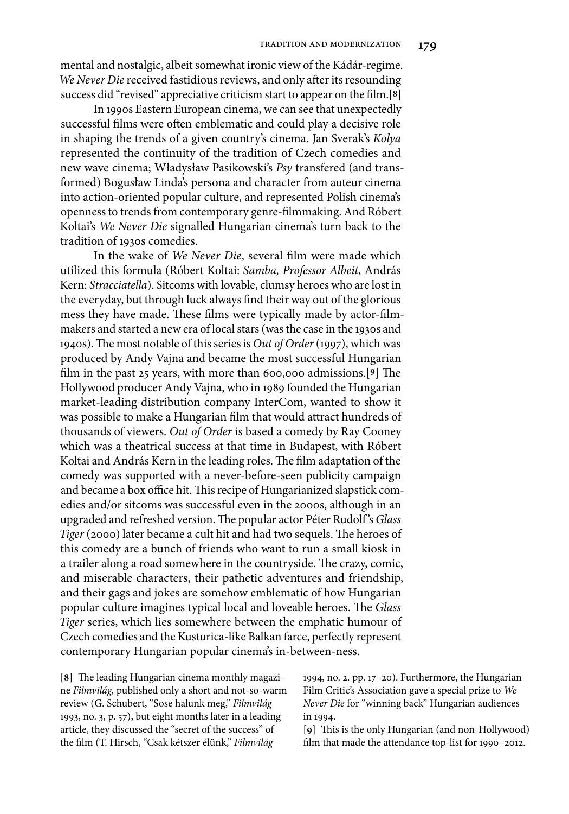mental and nostalgic, albeit somewhat ironic view of the Kádár-regime. We Never Die received fastidious reviews, and only after its resounding success did "revised" appreciative criticism start to appear on the film.<sup>[8]</sup>

In 1990s Eastern European cinema, we can see that unexpectedly successful films were often emblematic and could play a decisive role in shaping the trends of a given country's cinema. Jan Sverak's *Kolya* represented the continuity of the tradition of Czech comedies and new wave cinema; Władysław Pasikowski's *Psy* transfered (and transformed) Bogusław Linda's persona and character from auteur cinema into action-oriented popular culture, and represented Polish cinema's openness to trends from contemporary genre-filmmaking. And Róbert Koltai's *We Never Die* signalled Hungarian cinema's turn back to the tradition of 1930s comedies.

In the wake of *We Never Die*, several film were made which utilized this formula (Róbert Koltai: *Samba, Professor Albeit*, András Kern: *Stracciatella*). Sitcoms with lovable, clumsy heroes who are lost in the everyday, but through luck always find their way out of the glorious mess they have made. These films were typically made by actor-filmmakers and started a new era of local stars (was the case in the 1930s and 1940s). The most notable of this series is *Out of Order* (1997), which was produced by Andy Vajna and became the most successful Hungarian film in the past 25 years, with more than 600,000 admissions.<sup>[9]</sup> The Hollywood producer Andy Vajna, who in 1989 founded the Hungarian market-leading distribution company InterCom, wanted to show it was possible to make a Hungarian film that would attract hundreds of thousands of viewers. *Out of Order* is based a comedy by Ray Cooney which was a theatrical success at that time in Budapest, with Róbert Koltai and András Kern in the leading roles. The film adaptation of the comedy was supported with a never-before-seen publicity campaign and became a box office hit. This recipe of Hungarianized slapstick comedies and/or sitcoms was successful even in the 2000s, although in an upgraded and refreshed version. The popular actor Péter Rudolf's *Glass Tiger* (2000) later became a cult hit and had two sequels. The heroes of this comedy are a bunch of friends who want to run a small kiosk in a trailer along a road somewhere in the countryside. The crazy, comic, and miserable characters, their pathetic adventures and friendship, and their gags and jokes are somehow emblematic of how Hungarian popular culture imagines typical local and loveable heroes. The *Glass Tiger* series, which lies somewhere between the emphatic humour of Czech comedies and the Kusturica-like Balkan farce, perfectly represent contemporary Hungarian popular cinema's in-between-ness.

[8] The leading Hungarian cinema monthly magazine *Filmvilág,* published only a short and not-so-warm review (G. Schubert, "Sose halunk meg," *Filmvilág* 1993, no. 3, p. 57), but eight months later in a leading article, they discussed the "secret of the success" of the film (T. Hirsch, "Csak kétszer élünk," *Filmvilág* 

1994, no. 2. pp. 17–20). Furthermore, the Hungarian Film Critic's Association gave a special prize to *We Never Die* for "winning back" Hungarian audiences in 1994.

**[9]** Th is is the only Hungarian (and non-Hollywood) film that made the attendance top-list for 1990-2012.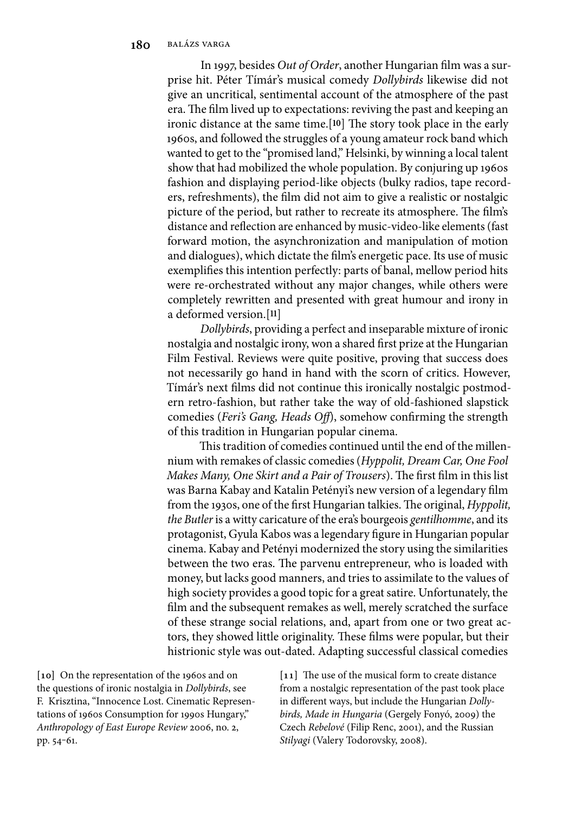In 1997, besides *Out of Order*, another Hungarian film was a surprise hit. Péter Tímár's musical comedy *Dollybirds* likewise did not give an uncritical, sentimental account of the atmosphere of the past era. The film lived up to expectations: reviving the past and keeping an ironic distance at the same time.<sup>[10]</sup> The story took place in the early 1960s, and followed the struggles of a young amateur rock band which wanted to get to the "promised land," Helsinki, by winning a local talent show that had mobilized the whole population. By conjuring up 1960s fashion and displaying period-like objects (bulky radios, tape recorders, refreshments), the film did not aim to give a realistic or nostalgic picture of the period, but rather to recreate its atmosphere. The film's distance and reflection are enhanced by music-video-like elements (fast forward motion, the asynchronization and manipulation of motion and dialogues), which dictate the film's energetic pace. Its use of music exemplifies this intention perfectly: parts of banal, mellow period hits were re-orchestrated without any major changes, while others were completely rewritten and presented with great humour and irony in a deformed version.[**11**]

*Dollybirds*, providing a perfect and inseparable mixture of ironic nostalgia and nostalgic irony, won a shared first prize at the Hungarian Film Festival. Reviews were quite positive, proving that success does not necessarily go hand in hand with the scorn of critics. However, Tímár's next films did not continue this ironically nostalgic postmodern retro-fashion, but rather take the way of old-fashioned slapstick comedies (*Feri's Gang, Heads Off*), somehow confirming the strength of this tradition in Hungarian popular cinema.

This tradition of comedies continued until the end of the millennium with remakes of classic comedies (*Hyppolit, Dream Car, One Fool Makes Many, One Skirt and a Pair of Trousers*). The first film in this list was Barna Kabay and Katalin Petényi's new version of a legendary film from the 1930s, one of the first Hungarian talkies. The original, *Hyppolit*, *the Butler* is a witty caricature of the era's bourgeois *gentilhomme*, and its protagonist, Gyula Kabos was a legendary figure in Hungarian popular cinema. Kabay and Petényi modernized the story using the similarities between the two eras. The parvenu entrepreneur, who is loaded with money, but lacks good manners, and tries to assimilate to the values of high society provides a good topic for a great satire. Unfortunately, the film and the subsequent remakes as well, merely scratched the surface of these strange social relations, and, apart from one or two great actors, they showed little originality. These films were popular, but their histrionic style was out-dated. Adapting successful classical comedies

[10] On the representation of the 1960s and on the questions of ironic nostalgia in *Dollybirds*, see F. Krisztina, "Innocence Lost. Cinematic Representations of 1960s Consumption for 1990s Hungary," *Anthropology of East Europe Review* 2006, no. 2, pp. 54-61.

[11] The use of the musical form to create distance from a nostalgic representation of the past took place in different ways, but include the Hungarian *Dollybirds, Made in Hungaria* (Gergely Fonyó, 2009) the Czech *Rebelové* (Filip Renc, 2001), and the Russian *Stilyagi* (Valery Todorovsky, 2008).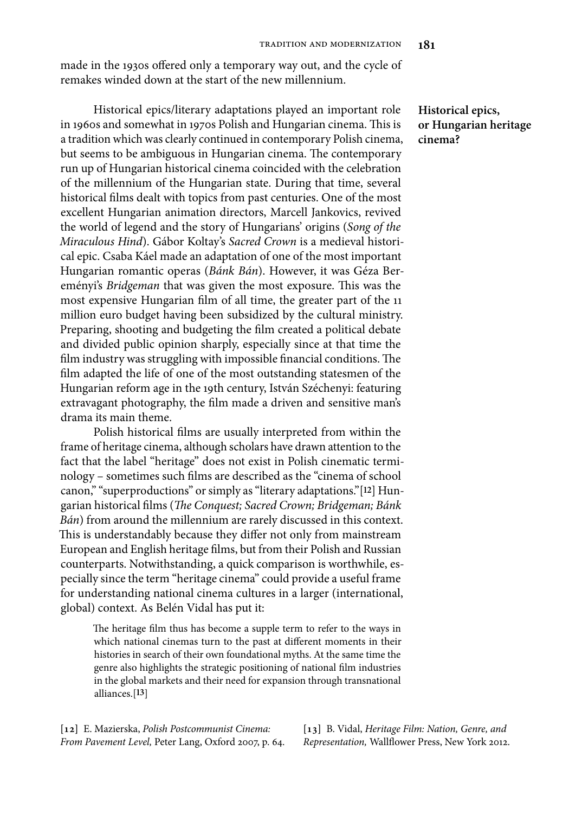made in the 1930s offered only a temporary way out, and the cycle of remakes winded down at the start of the new millennium.

Historical epics/literary adaptations played an important role in 1960s and somewhat in 1970s Polish and Hungarian cinema. This is a tradition which was clearly continued in contemporary Polish cinema, but seems to be ambiguous in Hungarian cinema. The contemporary run up of Hungarian historical cinema coincided with the celebration of the millennium of the Hungarian state. During that time, several historical films dealt with topics from past centuries. One of the most excellent Hungarian animation directors, Marcell Jankovics, revived the world of legend and the story of Hungarians' origins (*Song of the Miraculous Hind*). Gábor Koltay's *Sacred Crown* is a medieval historical epic. Csaba Káel made an adaptation of one of the most important Hungarian romantic operas (*Bánk Bán*). However, it was Géza Bereményi's *Bridgeman* that was given the most exposure. This was the most expensive Hungarian film of all time, the greater part of the 11 million euro budget having been subsidized by the cultural ministry. Preparing, shooting and budgeting the film created a political debate and divided public opinion sharply, especially since at that time the film industry was struggling with impossible financial conditions. The film adapted the life of one of the most outstanding statesmen of the Hungarian reform age in the 19th century, István Széchenyi: featuring extravagant photography, the film made a driven and sensitive man's drama its main theme.

Polish historical films are usually interpreted from within the frame of heritage cinema, although scholars have drawn attention to the fact that the label "heritage" does not exist in Polish cinematic terminology - sometimes such films are described as the "cinema of school canon," "superproductions" or simply as "literary adaptations."[**12**] Hungarian historical films (*The Conquest; Sacred Crown; Bridgeman; Bánk Bán*) from around the millennium are rarely discussed in this context. This is understandably because they differ not only from mainstream European and English heritage films, but from their Polish and Russian counterparts. Notwithstanding, a quick comparison is worthwhile, especially since the term "heritage cinema" could provide a useful frame for understanding national cinema cultures in a larger (international, global) context. As Belén Vidal has put it:

The heritage film thus has become a supple term to refer to the ways in which national cinemas turn to the past at different moments in their histories in search of their own foundational myths. At the same time the genre also highlights the strategic positioning of national film industries in the global markets and their need for expansion through transnational alliances.[**13**]

**[12]** E. Mazierska, *Polish Postcommunist Cinema: From Pavement Level,* Peter Lang, Oxford 2007, p. 64. **[13]** B. Vidal, *Heritage Film: Nation, Genre, and Representation, Wallflower Press, New York 2012.* 

**Historical epics, or Hungarian heritage cinema?**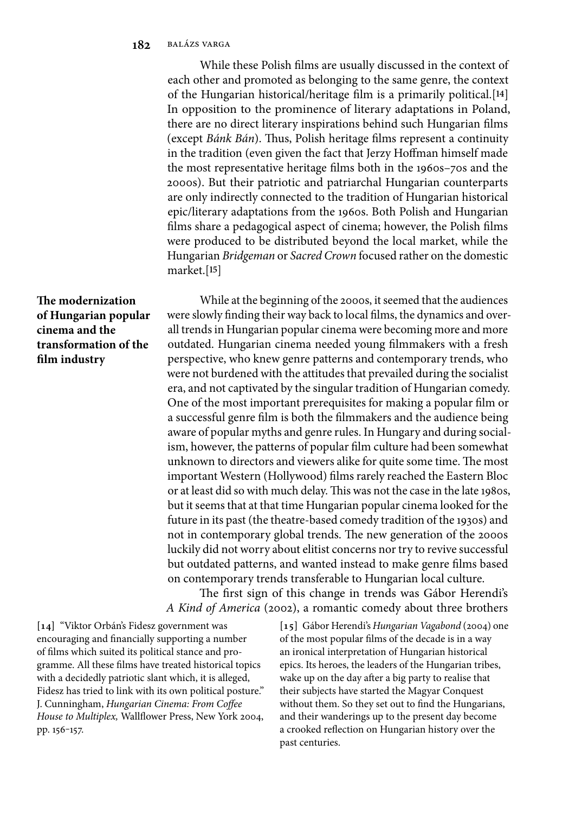While these Polish films are usually discussed in the context of each other and promoted as belonging to the same genre, the context of the Hungarian historical/heritage film is a primarily political.<sup>[14]</sup> In opposition to the prominence of literary adaptations in Poland, there are no direct literary inspirations behind such Hungarian films (except *Bánk Bán*). Thus, Polish heritage films represent a continuity in the tradition (even given the fact that Jerzy Hoffman himself made the most representative heritage films both in the 1960s–70s and the 2000s). But their patriotic and patriarchal Hungarian counterparts are only indirectly connected to the tradition of Hungarian historical epic/literary adaptations from the 1960s. Both Polish and Hungarian films share a pedagogical aspect of cinema; however, the Polish films were produced to be distributed beyond the local market, while the Hungarian *Bridgeman* or *Sacred Crown* focused rather on the domestic market.[**15**]

## **The modernization of Hungarian popular cinema and the transformation of the**  film industry

While at the beginning of the 2000s, it seemed that the audiences were slowly finding their way back to local films, the dynamics and overall trends in Hungarian popular cinema were becoming more and more outdated. Hungarian cinema needed young filmmakers with a fresh perspective, who knew genre patterns and contemporary trends, who were not burdened with the attitudes that prevailed during the socialist era, and not captivated by the singular tradition of Hungarian comedy. One of the most important prerequisites for making a popular film or a successful genre film is both the filmmakers and the audience being aware of popular myths and genre rules. In Hungary and during socialism, however, the patterns of popular film culture had been somewhat unknown to directors and viewers alike for quite some time. The most important Western (Hollywood) films rarely reached the Eastern Bloc or at least did so with much delay. This was not the case in the late 1980s, but it seems that at that time Hungarian popular cinema looked for the future in its past (the theatre-based comedy tradition of the 1930s) and not in contemporary global trends. The new generation of the 2000s luckily did not worry about elitist concerns nor try to revive successful but outdated patterns, and wanted instead to make genre films based on contemporary trends transferable to Hungarian local culture.

The first sign of this change in trends was Gábor Herendi's *A Kind of America* (2002), a romantic comedy about three brothers

**[14]** "Viktor Orbán's Fidesz government was encouraging and financially supporting a number of films which suited its political stance and programme. All these films have treated historical topics with a decidedly patriotic slant which, it is alleged, Fidesz has tried to link with its own political posture." J. Cunningham, *Hungarian Cinema: From Coff ee House to Multiplex, Wallflower Press, New York 2004,* pp. 156-157.

**[15]** Gábor Herendi's *Hungarian Vagabond* (2004) one of the most popular films of the decade is in a way an ironical interpretation of Hungarian historical epics. Its heroes, the leaders of the Hungarian tribes, wake up on the day after a big party to realise that their subjects have started the Magyar Conquest without them. So they set out to find the Hungarians, and their wanderings up to the present day become a crooked reflection on Hungarian history over the past centuries.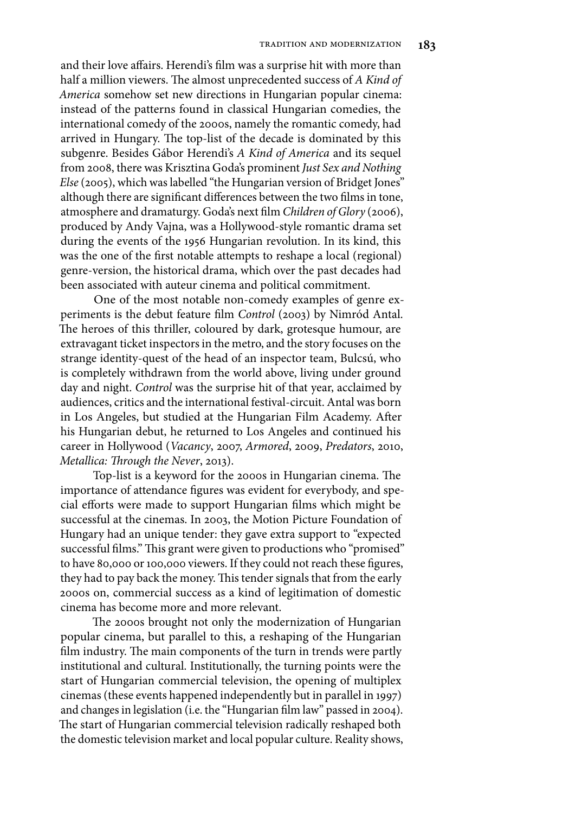and their love affairs. Herendi's film was a surprise hit with more than half a million viewers. The almost unprecedented success of A Kind of *America* somehow set new directions in Hungarian popular cinema: instead of the patterns found in classical Hungarian comedies, the international comedy of the 2000s, namely the romantic comedy, had arrived in Hungary. The top-list of the decade is dominated by this subgenre. Besides Gábor Herendi's *A Kind of America* and its sequel from 2008, there was Krisztina Goda's prominent *Just Sex and Nothing Else* (2005), which was labelled "the Hungarian version of Bridget Jones" although there are significant differences between the two films in tone, atmosphere and dramaturgy. Goda's next film *Children of Glory* (2006), produced by Andy Vajna, was a Hollywood-style romantic drama set during the events of the 1956 Hungarian revolution. In its kind, this was the one of the first notable attempts to reshape a local (regional) genre-version, the historical drama, which over the past decades had been associated with auteur cinema and political commitment.

One of the most notable non-comedy examples of genre experiments is the debut feature film *Control* (2003) by Nimród Antal. The heroes of this thriller, coloured by dark, grotesque humour, are extravagant ticket inspectors in the metro, and the story focuses on the strange identity-quest of the head of an inspector team, Bulcsú, who is completely withdrawn from the world above, living under ground day and night. *Control* was the surprise hit of that year, acclaimed by audiences, critics and the international festival-circuit. Antal was born in Los Angeles, but studied at the Hungarian Film Academy. After his Hungarian debut, he returned to Los Angeles and continued his career in Hollywood (*Vacancy*, 2007, *Armored*, 2009, *Predators*, 2010, *Metallica: Through the Never*, 2013).

Top-list is a keyword for the 2000s in Hungarian cinema. The importance of attendance figures was evident for everybody, and special efforts were made to support Hungarian films which might be successful at the cinemas. In 2003, the Motion Picture Foundation of Hungary had an unique tender: they gave extra support to "expected successful films." This grant were given to productions who "promised" to have 80,000 or 100,000 viewers. If they could not reach these figures, they had to pay back the money. This tender signals that from the early 2000s on, commercial success as a kind of legitimation of domestic cinema has become more and more relevant.

The 2000s brought not only the modernization of Hungarian popular cinema, but parallel to this, a reshaping of the Hungarian film industry. The main components of the turn in trends were partly institutional and cultural. Institutionally, the turning points were the start of Hungarian commercial television, the opening of multiplex cinemas (these events happened independently but in parallel in 1997) and changes in legislation (i.e. the "Hungarian film law" passed in 2004). The start of Hungarian commercial television radically reshaped both the domestic television market and local popular culture. Reality shows,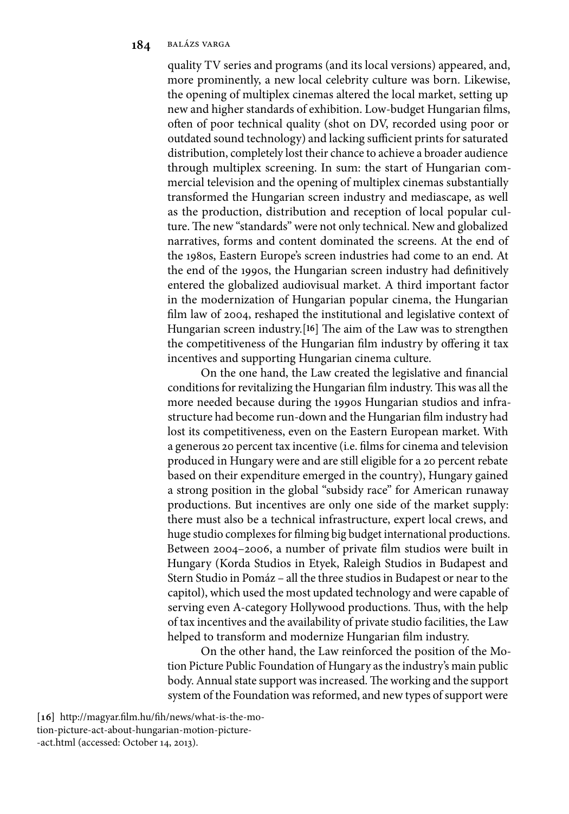quality TV series and programs (and its local versions) appeared, and, more prominently, a new local celebrity culture was born. Likewise, the opening of multiplex cinemas altered the local market, setting up new and higher standards of exhibition. Low-budget Hungarian films, often of poor technical quality (shot on DV, recorded using poor or outdated sound technology) and lacking sufficient prints for saturated distribution, completely lost their chance to achieve a broader audience through multiplex screening. In sum: the start of Hungarian commercial television and the opening of multiplex cinemas substantially transformed the Hungarian screen industry and mediascape, as well as the production, distribution and reception of local popular culture. The new "standards" were not only technical. New and globalized narratives, forms and content dominated the screens. At the end of the 1980s, Eastern Europe's screen industries had come to an end. At the end of the 1990s, the Hungarian screen industry had definitively entered the globalized audiovisual market. A third important factor in the modernization of Hungarian popular cinema, the Hungarian film law of 2004, reshaped the institutional and legislative context of Hungarian screen industry.<sup>[16]</sup> The aim of the Law was to strengthen the competitiveness of the Hungarian film industry by offering it tax incentives and supporting Hungarian cinema culture.

On the one hand, the Law created the legislative and financial conditions for revitalizing the Hungarian film industry. This was all the more needed because during the 1990s Hungarian studios and infrastructure had become run-down and the Hungarian film industry had lost its competitiveness, even on the Eastern European market. With a generous 20 percent tax incentive (i.e. films for cinema and television produced in Hungary were and are still eligible for a 20 percent rebate based on their expenditure emerged in the country), Hungary gained a strong position in the global "subsidy race" for American runaway productions. But incentives are only one side of the market supply: there must also be a technical infrastructure, expert local crews, and huge studio complexes for filming big budget international productions. Between 2004–2006, a number of private film studios were built in Hungary (Korda Studios in Etyek, Raleigh Studios in Budapest and Stern Studio in Pomáz – all the three studios in Budapest or near to the capitol), which used the most updated technology and were capable of serving even A-category Hollywood productions. Thus, with the help of tax incentives and the availability of private studio facilities, the Law helped to transform and modernize Hungarian film industry.

On the other hand, the Law reinforced the position of the Motion Picture Public Foundation of Hungary as the industry's main public body. Annual state support was increased. The working and the support system of the Foundation was reformed, and new types of support were

[16] http://magyar.film.hu/fih/news/what-is-the-motion-picture-act-about-hungarian-motion-picture- -act.html (accessed: October 14, 2013).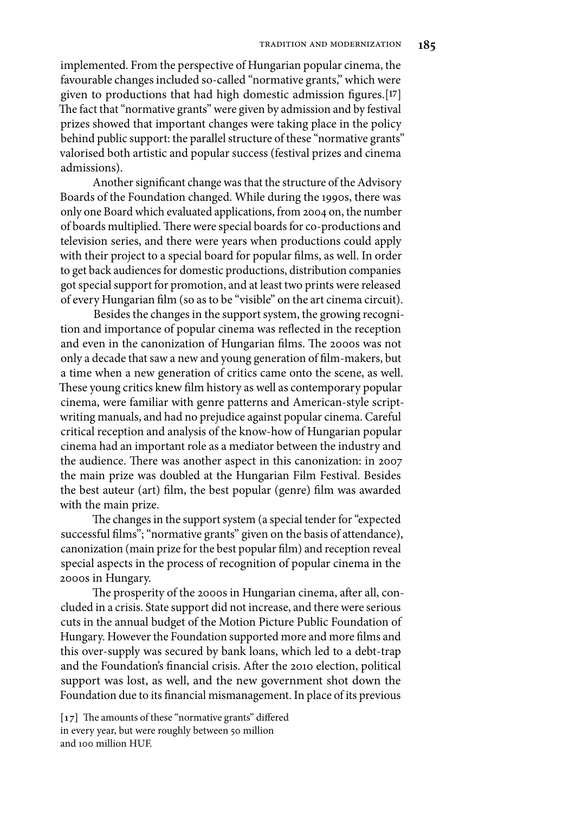implemented. From the perspective of Hungarian popular cinema, the favourable changes included so-called "normative grants," which were given to productions that had high domestic admission figures.<sup>[17]</sup> The fact that "normative grants" were given by admission and by festival prizes showed that important changes were taking place in the policy behind public support: the parallel structure of these "normative grants" valorised both artistic and popular success (festival prizes and cinema admissions).

Another significant change was that the structure of the Advisory Boards of the Foundation changed. While during the 1990s, there was only one Board which evaluated applications, from 2004 on, the number of boards multiplied. There were special boards for co-productions and television series, and there were years when productions could apply with their project to a special board for popular films, as well. In order to get back audiences for domestic productions, distribution companies got special support for promotion, and at least two prints were released of every Hungarian film (so as to be "visible" on the art cinema circuit).

Besides the changes in the support system, the growing recognition and importance of popular cinema was reflected in the reception and even in the canonization of Hungarian films. The 2000s was not only a decade that saw a new and young generation of film-makers, but a time when a new generation of critics came onto the scene, as well. These young critics knew film history as well as contemporary popular cinema, were familiar with genre patterns and American-style scriptwriting manuals, and had no prejudice against popular cinema. Careful critical reception and analysis of the know-how of Hungarian popular cinema had an important role as a mediator between the industry and the audience. There was another aspect in this canonization: in 2007 the main prize was doubled at the Hungarian Film Festival. Besides the best auteur (art) film, the best popular (genre) film was awarded with the main prize.

The changes in the support system (a special tender for "expected" successful films"; "normative grants" given on the basis of attendance), canonization (main prize for the best popular film) and reception reveal special aspects in the process of recognition of popular cinema in the 2000s in Hungary.

The prosperity of the 2000s in Hungarian cinema, after all, concluded in a crisis. State support did not increase, and there were serious cuts in the annual budget of the Motion Picture Public Foundation of Hungary. However the Foundation supported more and more films and this over-supply was secured by bank loans, which led to a debt-trap and the Foundation's financial crisis. After the 2010 election, political support was lost, as well, and the new government shot down the Foundation due to its financial mismanagement. In place of its previous

[17] The amounts of these "normative grants" differed in every year, but were roughly between 50 million and 100 million HUF.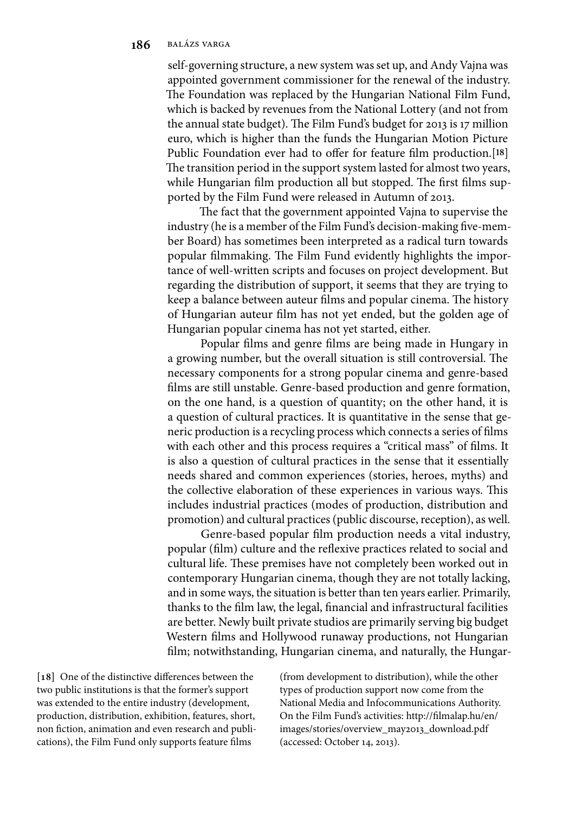self-governing structure, a new system was set up, and Andy Vajna was appointed government commissioner for the renewal of the industry. The Foundation was replaced by the Hungarian National Film Fund, which is backed by revenues from the National Lottery (and not from the annual state budget). The Film Fund's budget for 2013 is 17 million euro, which is higher than the funds the Hungarian Motion Picture Public Foundation ever had to offer for feature film production.<sup>[18]</sup> The transition period in the support system lasted for almost two years, while Hungarian film production all but stopped. The first films supported by the Film Fund were released in Autumn of 2013.

The fact that the government appointed Vajna to supervise the industry (he is a member of the Film Fund's decision-making five-member Board) has sometimes been interpreted as a radical turn towards popular filmmaking. The Film Fund evidently highlights the importance of well-written scripts and focuses on project development. But regarding the distribution of support, it seems that they are trying to keep a balance between auteur films and popular cinema. The history of Hungarian auteur film has not yet ended, but the golden age of Hungarian popular cinema has not yet started, either.

Popular films and genre films are being made in Hungary in a growing number, but the overall situation is still controversial. The necessary components for a strong popular cinema and genre-based films are still unstable. Genre-based production and genre formation, on the one hand, is a question of quantity; on the other hand, it is a question of cultural practices. It is quantitative in the sense that generic production is a recycling process which connects a series of films with each other and this process requires a "critical mass" of films. It is also a question of cultural practices in the sense that it essentially needs shared and common experiences (stories, heroes, myths) and the collective elaboration of these experiences in various ways. This includes industrial practices (modes of production, distribution and promotion) and cultural practices (public discourse, reception), as well.

Genre-based popular film production needs a vital industry, popular (film) culture and the reflexive practices related to social and cultural life. These premises have not completely been worked out in contemporary Hungarian cinema, though they are not totally lacking, and in some ways, the situation is better than ten years earlier. Primarily, thanks to the film law, the legal, financial and infrastructural facilities are better. Newly built private studios are primarily serving big budget Western films and Hollywood runaway productions, not Hungarian film; notwithstanding, Hungarian cinema, and naturally, the Hungar-

[18] One of the distinctive differences between the two public institutions is that the former's support was extended to the entire industry (development, production, distribution, exhibition, features, short, non fiction, animation and even research and publications), the Film Fund only supports feature films

(from development to distribution), while the other types of production support now come from the National Media and Infocommunications Authority. On the Film Fund's activities: http://filmalap.hu/en/ images/stories/overview\_may2013\_download.pdf (accessed: October 14, 2013).